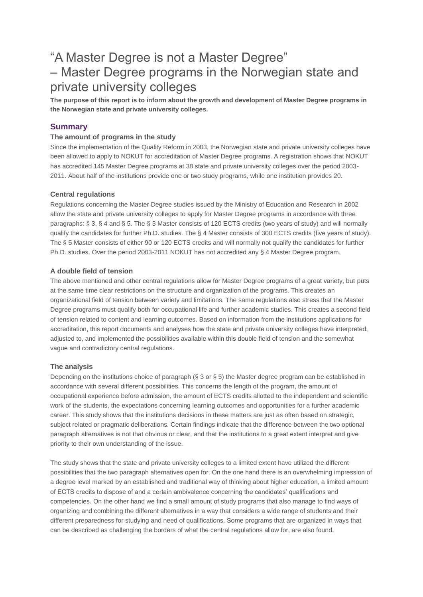# "A Master Degree is not a Master Degree" – Master Degree programs in the Norwegian state and private university colleges

**The purpose of this report is to inform about the growth and development of Master Degree programs in the Norwegian state and private university colleges.**

# **Summary**

## **The amount of programs in the study**

Since the implementation of the Quality Reform in 2003, the Norwegian state and private university colleges have been allowed to apply to NOKUT for accreditation of Master Degree programs. A registration shows that NOKUT has accredited 145 Master Degree programs at 38 state and private university colleges over the period 2003- 2011. About half of the institutions provide one or two study programs, while one institution provides 20.

## **Central regulations**

Regulations concerning the Master Degree studies issued by the Ministry of Education and Research in 2002 allow the state and private university colleges to apply for Master Degree programs in accordance with three paragraphs: § 3, § 4 and § 5. The § 3 Master consists of 120 ECTS credits (two years of study) and will normally qualify the candidates for further Ph.D. studies. The § 4 Master consists of 300 ECTS credits (five years of study). The § 5 Master consists of either 90 or 120 ECTS credits and will normally not qualify the candidates for further Ph.D. studies. Over the period 2003-2011 NOKUT has not accredited any § 4 Master Degree program.

#### **A double field of tension**

The above mentioned and other central regulations allow for Master Degree programs of a great variety, but puts at the same time clear restrictions on the structure and organization of the programs. This creates an organizational field of tension between variety and limitations. The same regulations also stress that the Master Degree programs must qualify both for occupational life and further academic studies. This creates a second field of tension related to content and learning outcomes. Based on information from the institutions applications for accreditation, this report documents and analyses how the state and private university colleges have interpreted, adjusted to, and implemented the possibilities available within this double field of tension and the somewhat vague and contradictory central regulations.

#### **The analysis**

Depending on the institutions choice of paragraph (§ 3 or § 5) the Master degree program can be established in accordance with several different possibilities. This concerns the length of the program, the amount of occupational experience before admission, the amount of ECTS credits allotted to the independent and scientific work of the students, the expectations concerning learning outcomes and opportunities for a further academic career. This study shows that the institutions decisions in these matters are just as often based on strategic, subject related or pragmatic deliberations. Certain findings indicate that the difference between the two optional paragraph alternatives is not that obvious or clear, and that the institutions to a great extent interpret and give priority to their own understanding of the issue.

The study shows that the state and private university colleges to a limited extent have utilized the different possibilities that the two paragraph alternatives open for. On the one hand there is an overwhelming impression of a degree level marked by an established and traditional way of thinking about higher education, a limited amount of ECTS credits to dispose of and a certain ambivalence concerning the candidates' qualifications and competencies. On the other hand we find a small amount of study programs that also manage to find ways of organizing and combining the different alternatives in a way that considers a wide range of students and their different preparedness for studying and need of qualifications. Some programs that are organized in ways that can be described as challenging the borders of what the central regulations allow for, are also found.